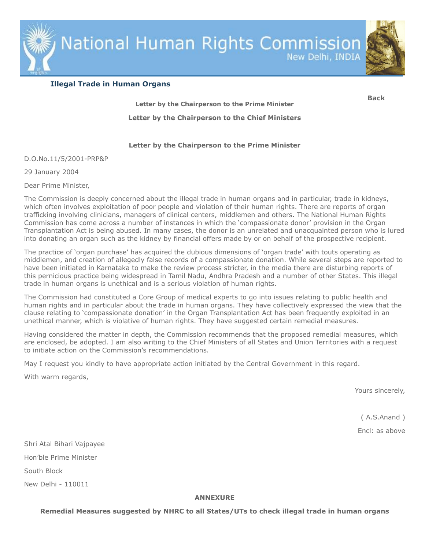National Human Rights Commission

New Delhi, INDIA



<span id="page-0-0"></span>**[Back](http://nhrc.nic.in/ImpInstructions.htm)**

# **Illegal Trade in Human Organs**

<span id="page-0-1"></span>**[Letter by the Chairperson to the Prime Minister](#page-0-0) [Letter by the Chairperson to the Chief Ministers](#page-1-0)**

# **Letter by the Chairperson to the Prime Minister**

D.O.No.11/5/2001-PRP&P

29 January 2004

Dear Prime Minister,

The Commission is deeply concerned about the illegal trade in human organs and in particular, trade in kidneys, which often involves exploitation of poor people and violation of their human rights. There are reports of organ trafficking involving clinicians, managers of clinical centers, middlemen and others. The National Human Rights Commission has come across a number of instances in which the 'compassionate donor' provision in the Organ Transplantation Act is being abused. In many cases, the donor is an unrelated and unacquainted person who is lured into donating an organ such as the kidney by financial offers made by or on behalf of the prospective recipient.

The practice of 'organ purchase' has acquired the dubious dimensions of 'organ trade' with touts operating as middlemen, and creation of allegedly false records of a compassionate donation. While several steps are reported to have been initiated in Karnataka to make the review process stricter, in the media there are disturbing reports of this pernicious practice being widespread in Tamil Nadu, Andhra Pradesh and a number of other States. This illegal trade in human organs is unethical and is a serious violation of human rights.

The Commission had constituted a Core Group of medical experts to go into issues relating to public health and human rights and in particular about the trade in human organs. They have collectively expressed the view that the clause relating to 'compassionate donation' in the Organ Transplantation Act has been frequently exploited in an unethical manner, which is violative of human rights. They have suggested certain remedial measures.

Having considered the matter in depth, the Commission recommends that the proposed remedial measures, which are enclosed, be adopted. I am also writing to the Chief Ministers of all States and Union Territories with a request to initiate action on the Commission's recommendations.

May I request you kindly to have appropriate action initiated by the Central Government in this regard.

With warm regards,

Yours sincerely,

( A.S.Anand )

Encl: as above

Shri Atal Bihari Vajpayee Hon'ble Prime Minister South Block New Delhi - 110011

## **ANNEXURE**

**Remedial Measures suggested by NHRC to all States/UTs to check illegal trade in human organs**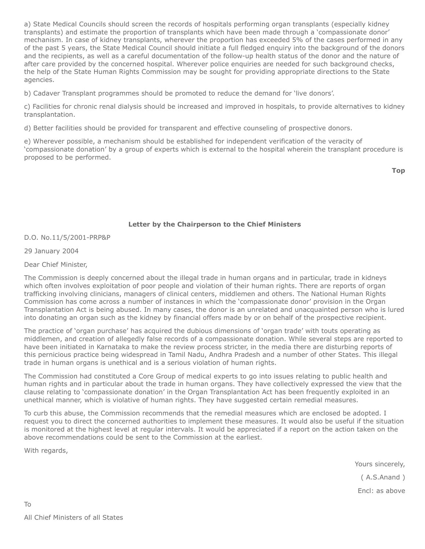a) State Medical Councils should screen the records of hospitals performing organ transplants (especially kidney transplants) and estimate the proportion of transplants which have been made through a 'compassionate donor' mechanism. In case of kidney transplants, wherever the proportion has exceeded 5% of the cases performed in any of the past 5 years, the State Medical Council should initiate a full fledged enquiry into the background of the donors and the recipients, as well as a careful documentation of the follow-up health status of the donor and the nature of after care provided by the concerned hospital. Wherever police enquiries are needed for such background checks, the help of the State Human Rights Commission may be sought for providing appropriate directions to the State agencies.

b) Cadaver Transplant programmes should be promoted to reduce the demand for 'live donors'.

c) Facilities for chronic renal dialysis should be increased and improved in hospitals, to provide alternatives to kidney transplantation.

d) Better facilities should be provided for transparent and effective counseling of prospective donors.

e) Wherever possible, a mechanism should be established for independent verification of the veracity of 'compassionate donation' by a group of experts which is external to the hospital wherein the transplant procedure is proposed to be performed.

## <span id="page-1-0"></span>**Letter by the Chairperson to the Chief Ministers**

D.O. No.11/5/2001-PRP&P

29 January 2004

Dear Chief Minister,

The Commission is deeply concerned about the illegal trade in human organs and in particular, trade in kidneys which often involves exploitation of poor people and violation of their human rights. There are reports of organ trafficking involving clinicians, managers of clinical centers, middlemen and others. The National Human Rights Commission has come across a number of instances in which the 'compassionate donor' provision in the Organ Transplantation Act is being abused. In many cases, the donor is an unrelated and unacquainted person who is lured into donating an organ such as the kidney by financial offers made by or on behalf of the prospective recipient.

The practice of 'organ purchase' has acquired the dubious dimensions of 'organ trade' with touts operating as middlemen, and creation of allegedly false records of a compassionate donation. While several steps are reported to have been initiated in Karnataka to make the review process stricter, in the media there are disturbing reports of this pernicious practice being widespread in Tamil Nadu, Andhra Pradesh and a number of other States. This illegal trade in human organs is unethical and is a serious violation of human rights.

The Commission had constituted a Core Group of medical experts to go into issues relating to public health and human rights and in particular about the trade in human organs. They have collectively expressed the view that the clause relating to 'compassionate donation' in the Organ Transplantation Act has been frequently exploited in an unethical manner, which is violative of human rights. They have suggested certain remedial measures.

To curb this abuse, the Commission recommends that the remedial measures which are enclosed be adopted. I request you to direct the concerned authorities to implement these measures. It would also be useful if the situation is monitored at the highest level at regular intervals. It would be appreciated if a report on the action taken on the above recommendations could be sent to the Commission at the earliest.

With regards,

To

Yours sincerely,

( A.S.Anand )

Encl: as above